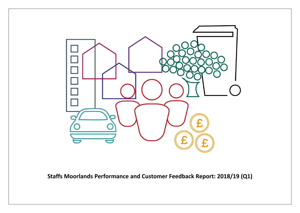

**Staffs Moorlands Performance and Customer Feedback Report: 2018/19 (Q1)**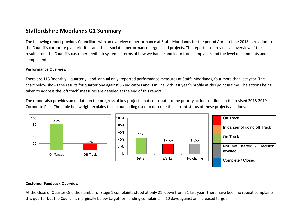## **Staffordshire Moorlands Q1 Summary**

The following report provides Councillors with an overview of performance at Staffs Moorlands for the period April to June 2018 in relation to the Council's corporate plan priorities and the associated performance targets and projects. The report also provides an overview of the results from the Council's customer feedback system in terms of how we handle and learn from complaints and the level of comments and compliments.

#### **Performance Overview**

There are 113 'monthly', 'quarterly', and 'annual only' reported performance measures at Staffs Moorlands, four more than last year. The chart below shows the results for quarter one against 36 indicators and is in line with last year's profile at this point in time. The actions being taken to address the 'off track' measures are detailed at the end of this report.

The report also provides an update on the progress of key projects that contribute to the priority actions outlined in the revised 2018-2019 Corporate Plan. The table below right explains the colour coding used to describe the current status of these projects / actions.



#### **Customer Feedback Overview**

At the close of Quarter One the number of Stage 1 complaints stood at only 21, down from 51 last year. There have been no repeat complaints this quarter but the Council is marginally below target for handing complaints in 10 days against an increased target.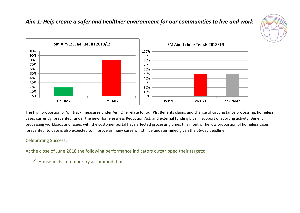## *Aim 1: Help create a safer and healthier environment for our communities to live and work*





The high proportion of 'off track' measures under Aim One relate to four PIs: Benefits claims and change of circumstance processing, homeless cases currently 'prevented' under the new Homelessness Reduction Act, and external funding bids in support of sporting activity. Benefit processing workloads and issues with the customer portal have affected processing times this month. The low proportion of homeless cases 'prevented' to date is also expected to improve as many cases will still be undetermined given the 56-day deadline.

## Celebrating Success:

At the close of June 2018 the following performance indicators outstripped their targets:

 $\checkmark$  Households in temporary accommodation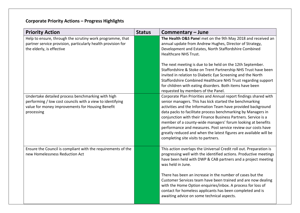| <b>Priority Action</b>                                                                                                                                                           | <b>Status</b> | Commentary - June                                                                                                                                                                                                                                                                                                                                                                                                                                                                                                                                                        |
|----------------------------------------------------------------------------------------------------------------------------------------------------------------------------------|---------------|--------------------------------------------------------------------------------------------------------------------------------------------------------------------------------------------------------------------------------------------------------------------------------------------------------------------------------------------------------------------------------------------------------------------------------------------------------------------------------------------------------------------------------------------------------------------------|
| Help to ensure, through the scrutiny work programme, that<br>partner service provision, particularly health provision for<br>the elderly, is effective                           |               | The Health O&S Panel met on the 9th May 2018 and received an<br>annual update from Andrew Hughes, Director of Strategy,<br>Development and Estates, North Staffordshire Combined<br><b>Healthcare NHS Trust.</b>                                                                                                                                                                                                                                                                                                                                                         |
|                                                                                                                                                                                  |               | The next meeting is due to be held on the 12th September.<br>Staffordshire & Stoke on Trent Partnership NHS Trust have been<br>invited in relation to Diabetic Eye Screening and the North<br>Staffordshire Combined Healthcare NHS Trust regarding support<br>for children with eating disorders. Both items have been<br>requested by members of the Panel.                                                                                                                                                                                                            |
| Undertake detailed process benchmarking with high<br>performing / low cost councils with a view to identifying<br>value for money improvements for Housing Benefit<br>processing |               | Corporate Plan Priorities and Annual report findings shared with<br>senior managers. This has kick started the benchmarking<br>activities and the Information Team have provided background<br>data packs to facilitate process benchmarking by Managers in<br>conjunction with their Finance Business Partners. Service is a<br>member of a county-wide managers' forum looking at benefits<br>performance and measures. Post service review our costs have<br>greatly reduced and when the latest figures are available will be<br>completing site visits to partners. |
| Ensure the Council is compliant with the requirements of the<br>new Homelessness Reduction Act                                                                                   |               | This action overlaps the Universal Credit roll out. Preparation is<br>progressing well with the identified actions. Productive meetings<br>have been held with DWP & CAB partners and a project meeting<br>was held in June.                                                                                                                                                                                                                                                                                                                                             |
|                                                                                                                                                                                  |               | There has been an increase in the number of cases but the<br>Customer Services team have been trained and are now dealing<br>with the Home Option enquiries/inbox. A process for loss of<br>contact for homeless applicants has been completed and is<br>awaiting advice on some technical aspects.                                                                                                                                                                                                                                                                      |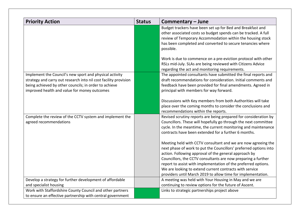| <b>Priority Action</b>                                                                                                                                                                                                               | <b>Status</b> | Commentary - June                                                                                                                                                                                                                                                                                                                                                                                                                                         |
|--------------------------------------------------------------------------------------------------------------------------------------------------------------------------------------------------------------------------------------|---------------|-----------------------------------------------------------------------------------------------------------------------------------------------------------------------------------------------------------------------------------------------------------------------------------------------------------------------------------------------------------------------------------------------------------------------------------------------------------|
|                                                                                                                                                                                                                                      |               | Budget trackers have been set up for Bed and Breakfast and<br>other associated costs so budget spends can be tracked. A full<br>review of Temporary Accommodation within the housing stock<br>has been completed and converted to secure tenancies where<br>possible.                                                                                                                                                                                     |
|                                                                                                                                                                                                                                      |               | Work is due to commence on a pre-eviction protocol with other<br>RSLs mid-July. SLAs are being reviewed with Citizens Advice<br>regarding the act and monitoring requirements.                                                                                                                                                                                                                                                                            |
| Implement the Council's new sport and physical activity<br>strategy and carry out research into nil cost facility provision<br>being achieved by other councils; in order to achieve<br>improved health and value for money outcomes |               | The appointed consultants have submitted the final reports and<br>draft recommendations for consideration. Initial comments and<br>feedback have been provided for final amendments. Agreed in<br>principal with members for way forward.                                                                                                                                                                                                                 |
|                                                                                                                                                                                                                                      |               | Discussions with Key members from both Authorities will take<br>place over the coming months to consider the conclusions and<br>recommendations within the reports.                                                                                                                                                                                                                                                                                       |
| Complete the review of the CCTV system and implement the<br>agreed recommendations                                                                                                                                                   |               | Revised scrutiny reports are being prepared for consideration by<br>Councillors. These will hopefully go through the next committee<br>cycle. In the meantime, the current monitoring and maintenance<br>contracts have been extended for a further 6 months.                                                                                                                                                                                             |
|                                                                                                                                                                                                                                      |               | Meeting held with CCTV consultant and we are now agreeing the<br>next phase of work to put the Councillors' preferred options into<br>action. Following approval of the general approach by<br>Councillors, the CCTV consultants are now preparing a further<br>report to assist with implementation of the preferred options.<br>We are looking to extend current contracts with service<br>providers until March 2019 to allow time for implementation. |
| Develop a strategy for further development of affordable<br>and specialist housing                                                                                                                                                   |               | A meeting was held with Your Housing in May and we are<br>continuing to review options for the future of Ascent.                                                                                                                                                                                                                                                                                                                                          |
| Work with Staffordshire County Council and other partners<br>to ensure an effective partnership with central government                                                                                                              |               | Links to strategic partnerships project above                                                                                                                                                                                                                                                                                                                                                                                                             |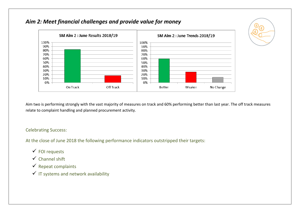## *Aim 2: Meet financial challenges and provide value for money*



Aim two is performing strongly with the vast majority of measures on track and 60% performing better than last year. The off track measures relate to complaint handling and planned procurement activity.

## Celebrating Success:

At the close of June 2018 the following performance indicators outstripped their targets:

- $\checkmark$  FOI requests
- $\checkmark$  Channel shift
- $\checkmark$  Repeat complaints
- $\checkmark$  IT systems and network availability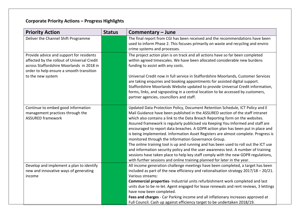| <b>Priority Action</b>                                                                                                                                                                                | <b>Status</b> | Commentary - June                                                                                                                                                                                                                                                                                                                                                                                                                                                                                                                                                                                                                                                                                                                                                                                                                                                                                                   |
|-------------------------------------------------------------------------------------------------------------------------------------------------------------------------------------------------------|---------------|---------------------------------------------------------------------------------------------------------------------------------------------------------------------------------------------------------------------------------------------------------------------------------------------------------------------------------------------------------------------------------------------------------------------------------------------------------------------------------------------------------------------------------------------------------------------------------------------------------------------------------------------------------------------------------------------------------------------------------------------------------------------------------------------------------------------------------------------------------------------------------------------------------------------|
| Deliver the Channel Shift Programme                                                                                                                                                                   |               | The final report from CGI has been received and the recommendations have been<br>used to inform Phase 2. This focuses primarily on waste and recycling and enviro<br>crime systems and processes.                                                                                                                                                                                                                                                                                                                                                                                                                                                                                                                                                                                                                                                                                                                   |
| Provide advice and support for residents<br>affected by the rollout of Universal Credit<br>across Staffordshire Moorlands in 2018 in<br>order to help ensure a smooth transition<br>to the new system |               | The project action plan is on track and all actions have so far been completed<br>within agreed timescales. We have been allocated considerable new burdens<br>funding to assist with any costs.<br>Universal Credit now in full service in Staffordshire Moorlands, Customer Services<br>are taking enquiries and booking appointments for assisted digital support.                                                                                                                                                                                                                                                                                                                                                                                                                                                                                                                                               |
|                                                                                                                                                                                                       |               | Staffordshire Moorlands Website updated to provide Universal Credit information,<br>forms, links, and signposting in a central location to be accessed by customers,<br>partner agencies, councillors and staff.                                                                                                                                                                                                                                                                                                                                                                                                                                                                                                                                                                                                                                                                                                    |
| Continue to embed good information<br>management practices through the<br><b>ASSURED framework</b>                                                                                                    |               | Updated Data Protection Policy, Document Retention Schedule, ICT Policy and E<br>Mail Guidance have been published in the ASSURED section of the staff intranet<br>which also contains a link to the Data Breach Reporting form on the websites.<br>Assured framework is regularly publicised via Keeping You Informed and staff are<br>encouraged to report data breaches. A GDPR action plan has been put in place and<br>is being implemented. Information Asset Registers are almost complete. Progress is<br>monitored through the Information Governance Group.<br>The online training tool is up and running and has been used to roll out the ICT use<br>and information security policy and the user awareness test. A number of training<br>sessions have taken place to help key staff comply with the new GDPR regulations,<br>with further sessions and online training planned for later in the year. |
| Develop and implement a plan to identify<br>new and innovative ways of generating<br>income                                                                                                           |               | All income generation challenge meetings have been completed, a target has been<br>included as part of the new efficiency and rationalisation strategy $2017/18 - 20/21$ .<br>Various streams:<br>Commercial properties- Industrial units refurbishment work completed and last<br>units due to be re-let. Agent engaged for lease renewals and rent reviews, 3 lettings<br>have now been completed.<br>Fees and charges - Car Parking income and all inflationary increases approved at<br>Full Council. Cash up against efficiency target to be undertaken 2018/19.                                                                                                                                                                                                                                                                                                                                               |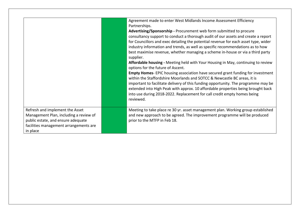|                                                                                                                                                                       | Agreement made to enter West Midlands Income Assessment Efficiency<br>Partnerships.<br>Advertising/Sponsorship - Procurement web form submitted to procure<br>consultancy support to conduct a thorough audit of our assets and create a report<br>for Councillors and exec detailing the potential revenue for each asset type, wider<br>industry information and trends, as well as specific recommendations as to how<br>best maximise revenue, whether managing a scheme in-house or via a third party<br>supplier.<br>Affordable housing - Meeting held with Your Housing in May, continuing to review<br>options for the future of Ascent.<br><b>Empty Homes-</b> EPIC housing association have secured grant funding for investment<br>within the Staffordshire Moorlands and SOTCC & Newcastle BC areas, it is<br>important to facilitate delivery of this funding opportunity. The programme may be<br>extended into High Peak with approx. 10 affordable properties being brought back<br>into use during 2018-2022. Replacement for call credit empty homes being<br>reviewed. |
|-----------------------------------------------------------------------------------------------------------------------------------------------------------------------|-------------------------------------------------------------------------------------------------------------------------------------------------------------------------------------------------------------------------------------------------------------------------------------------------------------------------------------------------------------------------------------------------------------------------------------------------------------------------------------------------------------------------------------------------------------------------------------------------------------------------------------------------------------------------------------------------------------------------------------------------------------------------------------------------------------------------------------------------------------------------------------------------------------------------------------------------------------------------------------------------------------------------------------------------------------------------------------------|
| Refresh and implement the Asset<br>Management Plan, including a review of<br>public estate, and ensure adequate<br>facilities management arrangements are<br>in place | Meeting to take place re 30 yr. asset management plan. Working group established<br>and new approach to be agreed. The improvement programme will be produced<br>prior to the MTFP in Feb 18.                                                                                                                                                                                                                                                                                                                                                                                                                                                                                                                                                                                                                                                                                                                                                                                                                                                                                             |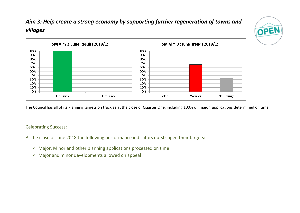# *Aim 3: Help create a strong economy by supporting further regeneration of towns and villages*





The Council has all of its Planning targets on track as at the close of Quarter One, including 100% of 'major' applications determined on time.

## Celebrating Success:

At the close of June 2018 the following performance indicators outstripped their targets:

- $\checkmark$  Major, Minor and other planning applications processed on time
- $\checkmark$  Major and minor developments allowed on appeal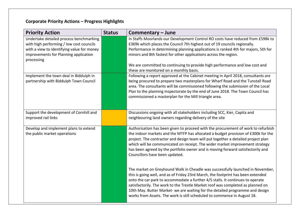| <b>Priority Action</b>                                                              | <b>Status</b> | Commentary - June                                                                                                                                                                                                                                                                                                                                                                                                                                                                                    |
|-------------------------------------------------------------------------------------|---------------|------------------------------------------------------------------------------------------------------------------------------------------------------------------------------------------------------------------------------------------------------------------------------------------------------------------------------------------------------------------------------------------------------------------------------------------------------------------------------------------------------|
| Undertake detailed process benchmarking<br>with high performing / low cost councils |               | In Staffs Moorlands our Development Control RO costs have reduced from £598k to<br>£369k which places the Council 7th highest out of 19 councils regionally.                                                                                                                                                                                                                                                                                                                                         |
| with a view to identifying value for money                                          |               | Performance in determining planning applications is ranked 4th for majors, 5th for                                                                                                                                                                                                                                                                                                                                                                                                                   |
| improvements for Planning application                                               |               | minors and 8th fastest for other applications across the region.                                                                                                                                                                                                                                                                                                                                                                                                                                     |
| processing                                                                          |               |                                                                                                                                                                                                                                                                                                                                                                                                                                                                                                      |
|                                                                                     |               | We are committed to continuing to provide high performance and low cost and<br>these are monitored on a monthly basis.                                                                                                                                                                                                                                                                                                                                                                               |
| Implement the town deal in Biddulph in<br>partnership with Biddulph Town Council    |               | Following a report approved at the Cabinet meeting in April 2018, consultants are<br>being procured to prepare two masterplans for Wharf Road and the Tunstall Road<br>area. The consultants will be commissioned following the submission of the Local<br>Plan to the planning inspectorate by the end of June 2018. The Town Council has<br>commissioned a masterplan for the Mill triangle area.                                                                                                  |
| Support the development of Cornhill and<br>improved rail links                      |               | Discussions ongoing with all stakeholders including SCC, Kier, Capita and<br>neighbouring land owners regarding delivery of the site                                                                                                                                                                                                                                                                                                                                                                 |
| Develop and implement plans to extend<br>the public market operations               |               | Authorisation has been given to proceed with the procurement of work to refurbish<br>the indoor markets and the MTFP has allocated a budget provision of £300k for the<br>project. The contractor and design team will put together a detailed project plan<br>which will be communicated on receipt. The wider market improvement strategy<br>has been agreed by the portfolio owner and is moving forward satisfactorily and<br>Councillors have been updated.                                     |
|                                                                                     |               | The market on Greyhound Walk in Cheadle was successfully launched in November,<br>this is going well, and as of Friday 23rd March, the footprint has been extended<br>onto the car park to accommodate a further 4/5 stalls. It continues to operate<br>satisfactorily. The work to the Trestle Market roof was completed as planned on<br>10th May. Butter Market- we are waiting for the detailed programme and design<br>works from Assets. The work is still scheduled to commence in August 18. |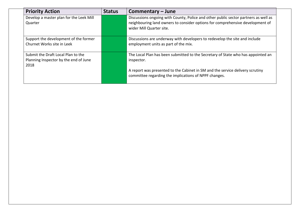| <b>Priority Action</b>                                                              | <b>Status</b> | Commentary – June                                                                                                                                                                                |
|-------------------------------------------------------------------------------------|---------------|--------------------------------------------------------------------------------------------------------------------------------------------------------------------------------------------------|
| Develop a master plan for the Leek Mill<br>Quarter                                  |               | Discussions ongoing with County, Police and other public sector partners as well as<br>neighbouring land owners to consider options for comprehensive development of<br>wider Mill Quarter site. |
| Support the development of the former<br>Churnet Works site in Leek                 |               | Discussions are underway with developers to redevelop the site and include<br>employment units as part of the mix.                                                                               |
| Submit the Draft Local Plan to the<br>Planning Inspector by the end of June<br>2018 |               | The Local Plan has been submitted to the Secretary of State who has appointed an<br>inspector.                                                                                                   |
|                                                                                     |               | A report was presented to the Cabinet in SM and the service delivery scrutiny<br>committee regarding the implications of NPPF changes.                                                           |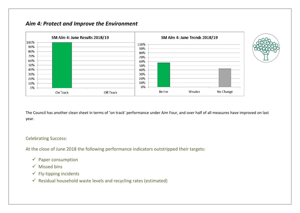## *Aim 4: Protect and Improve the Environment*



The Council has another clean sheet in terms of 'on track' performance under Aim Four, and over half of all measures have improved on last year.

#### Celebrating Success:

At the close of June 2018 the following performance indicators outstripped their targets:

- $\checkmark$  Paper consumption
- $\checkmark$  Missed bins
- $\checkmark$  Fly-tipping incidents
- $\checkmark$  Residual household waste levels and recycling rates (estimated)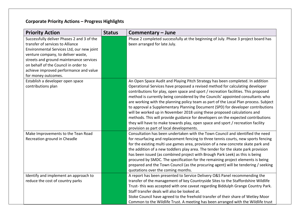| <b>Priority Action</b>                                                                                                                                                                                                                                                                                                | <b>Status</b> | Commentary - June                                                                                                                                                                                                                                                                                                                                                                                                                                                                                                                                                                                                                                                                                                                                                                                                   |
|-----------------------------------------------------------------------------------------------------------------------------------------------------------------------------------------------------------------------------------------------------------------------------------------------------------------------|---------------|---------------------------------------------------------------------------------------------------------------------------------------------------------------------------------------------------------------------------------------------------------------------------------------------------------------------------------------------------------------------------------------------------------------------------------------------------------------------------------------------------------------------------------------------------------------------------------------------------------------------------------------------------------------------------------------------------------------------------------------------------------------------------------------------------------------------|
| Successfully deliver Phases 2 and 3 of the<br>transfer of services to Alliance<br>Environmental Services Ltd, our new joint<br>venture company, to deliver waste,<br>streets and ground maintenance services<br>on behalf of the Council in order to<br>achieve improved performance and value<br>for money outcomes. |               | Phase 2 completed successfully at the beginning of July. Phase 3 project board has<br>been arranged for late July.                                                                                                                                                                                                                                                                                                                                                                                                                                                                                                                                                                                                                                                                                                  |
| Establish a developer open space<br>contributions plan                                                                                                                                                                                                                                                                |               | An Open Space Audit and Playing Pitch Strategy has been completed. In addition<br>Operational Services have proposed a revised method for calculating developer<br>contributions for play, open space and sport / recreation facilities. This proposed<br>method is currently being considered by the Councils' appointed consultants who<br>are working with the planning policy team as part of the Local Plan process. Subject<br>to approval a Supplementary Planning Document (SPD) for developer contributions<br>will be worked up in November 2018 using these proposed calculations and<br>methods. This will provide guidance for developers on the expected contributions<br>they will have to make towards play, open space and sport / recreation facility<br>provision as part of local developments. |
| Make Improvements to the Tean Road<br>Recreation ground in Cheadle                                                                                                                                                                                                                                                    |               | Consultation has been undertaken with the Town Council and identified the need<br>for resurfacing and replacement fencing to three tennis courts, new sports fencing<br>for the existing multi use games area, provision of a new concrete skate park and<br>the addition of a new toddlers play area. The tender for the skate park provision<br>has been issued (as combined project with Brough Park Leek) as this is being<br>procured by SMDC. The specification for the remaining project elements is being<br>prepared and the Town Council (as the procuring agent) will be tendering / seeking<br>quotations over the coming months.                                                                                                                                                                       |
| Identify and implement an approach to<br>reduce the cost of country parks                                                                                                                                                                                                                                             |               | A report has been presented to Service Delivery O&S Panel recommending the<br>transfer of the management of key Countryside Sites to the Staffordshire Wildlife<br>Trust-this was accepted with one caveat regarding Biddulph Grange Country Park.<br>Staff transfer deals will also be looked at.<br>Stoke Council have agreed to the freehold transfer of their share of Wetley Moor<br>Common to the Wildlife Trust. A meeting has been arranged with the Wildlife trust                                                                                                                                                                                                                                                                                                                                         |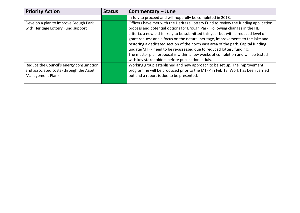| <b>Priority Action</b>                  | <b>Status</b> | Commentary – June                                                                   |
|-----------------------------------------|---------------|-------------------------------------------------------------------------------------|
|                                         |               | in July to proceed and will hopefully be completed in 2018.                         |
| Develop a plan to improve Brough Park   |               | Officers have met with the Heritage Lottery Fund to review the funding application  |
| with Heritage Lottery Fund support      |               | process and potential options for Brough Park. Following changes in the HLF         |
|                                         |               | criteria, a new bid is likely to be submitted this year but with a reduced level of |
|                                         |               | grant request and a focus on the natural heritage, improvements to the lake and     |
|                                         |               | restoring a dedicated section of the north east area of the park. Capital funding   |
|                                         |               | update/MTFP need to be re-assessed due to reduced lottery funding.                  |
|                                         |               | The master plan proposal is within a few weeks of completion and will be tested     |
|                                         |               | with key stakeholders before publication in July.                                   |
| Reduce the Council's energy consumption |               | Working group established and new approach to be set up. The improvement            |
| and associated costs (through the Asset |               | programme will be produced prior to the MTFP in Feb 18. Work has been carried       |
| Management Plan)                        |               | out and a report is due to be presented.                                            |
|                                         |               |                                                                                     |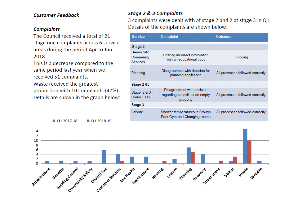## **Customer Feedback**

## **Complaints**

The Council received a total of 21 stage one complaints across 6 service areas during the period Apr to Jun 2018.

This is a decrease compared to the same period last year when we received 51 complaints.

Waste received the greatest proportion with 10 complaints (47%). Details are shown in the graph below:

#### Q1 2017-18 **01 2018-19**

## **Stage 2 & 3 Complaints**

3 complaints were dealt with at stage 2 and 2 at stage 3 in Q1. Details of the complaints are shown below:

| <b>Service</b>                      | <b>Complaint</b>                                                         | <b>Outcome</b>                   |  |
|-------------------------------------|--------------------------------------------------------------------------|----------------------------------|--|
| Stage 2                             |                                                                          |                                  |  |
| Democratic<br>Community<br>Services | Sharing Incorrect information<br>with an educational body                | Ongoing                          |  |
| Planning                            | Disagreement with decision for<br>planning application                   | All processes followed correctly |  |
| Stage 2 &3                          |                                                                          |                                  |  |
| Stage $2 & 3$<br><b>Council Tax</b> | Disagreement with decision<br>regarding council tax on empty<br>property | All processes followed correctly |  |
| Stage 3                             |                                                                          |                                  |  |
| Leisure                             | Shower temperatures in Brough<br>Park Gym and Changing rooms             | All processes followed correctly |  |

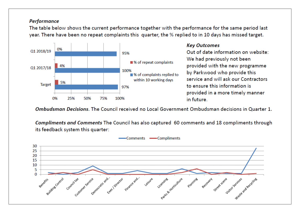## Performance

The table below shows the current performance together with the performance for the same period last year. There have been no repeat complaints this quarter, the % replied to in 10 days has missed target.



## **Kev Outcomes**

Out of date information on website: We had previously not been provided with the new programme by Parkwood who provide this service and will ask our Contractors to ensure this information is provided in a more timely manner in future.

Ombudsman Decisions. The Council received no Local Government Ombudsman decisions in Quarter 1.

Compliments and Comments The Council has also captured 60 comments and 18 compliments through its feedback system this quarter:

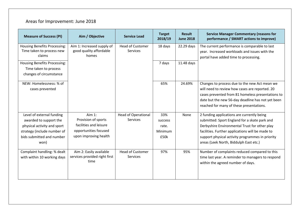# Areas for Improvement: June 2018

| <b>Measure of Success (PI)</b>      | Aim / Objective               | <b>Service Lead</b>        | <b>Target</b><br>2018/19 | <b>Result</b><br><b>June 2018</b> | <b>Service Manager Commentary (reasons for</b><br>performance / SMART actions to improve) |
|-------------------------------------|-------------------------------|----------------------------|--------------------------|-----------------------------------|-------------------------------------------------------------------------------------------|
| <b>Housing Benefits Processing:</b> | Aim 1: Increased supply of    | <b>Head of Customer</b>    | 18 days                  | 22.29 days                        | The current performance is comparable to last                                             |
| Time taken to process new           | good quality affordable       | Services                   |                          |                                   | year. Increased workloads and issues with the                                             |
| claims                              | homes                         |                            |                          |                                   | portal have added time to processing.                                                     |
| <b>Housing Benefits Processing:</b> |                               |                            | 7 days                   | 11.48 days                        |                                                                                           |
| Time taken to process               |                               |                            |                          |                                   |                                                                                           |
| changes of circumstance             |                               |                            |                          |                                   |                                                                                           |
| NEW: Homelessness: % of             |                               |                            | 65%                      | 24.69%                            | Changes to process due to the new Act mean we                                             |
| cases prevented                     |                               |                            |                          |                                   | will need to review how cases are reported. 20                                            |
|                                     |                               |                            |                          |                                   | cases prevented from 81 homeless presentations to                                         |
|                                     |                               |                            |                          |                                   | date but the new 56-day deadline has not yet been                                         |
|                                     |                               |                            |                          |                                   | reached for many of these presentations.                                                  |
| Level of external funding           | Aim 1:                        | <b>Head of Operational</b> | 33%                      | None                              | 2 funding applications are currently being                                                |
| awarded to support the              | Provision of sports           | <b>Services</b>            | success                  |                                   | submitted: Sport England for a skate park and                                             |
| physical activity and sport         | facilities and leisure        |                            | rate.                    |                                   | Derbyshire Environmental Trust for other play                                             |
| strategy (include number of         | opportunities focused         |                            | Minimum                  |                                   | facilities. Further applications will be made to                                          |
| bids submitted and number           | upon improving health         |                            | £50k                     |                                   | support physical activity programmes in priority                                          |
| won)                                |                               |                            |                          |                                   | areas (Leek North, Biddulph East etc.)                                                    |
| Complaint handling: % dealt         | Aim 2: Easily available       | <b>Head of Customer</b>    | 97%                      | 95%                               | Number of complaints reduced compared to this                                             |
| with within 10 working days         | services provided right first | <b>Services</b>            |                          |                                   | time last year. A reminder to managers to respond                                         |
|                                     | time                          |                            |                          |                                   | within the agreed number of days.                                                         |
|                                     |                               |                            |                          |                                   |                                                                                           |
|                                     |                               |                            |                          |                                   |                                                                                           |